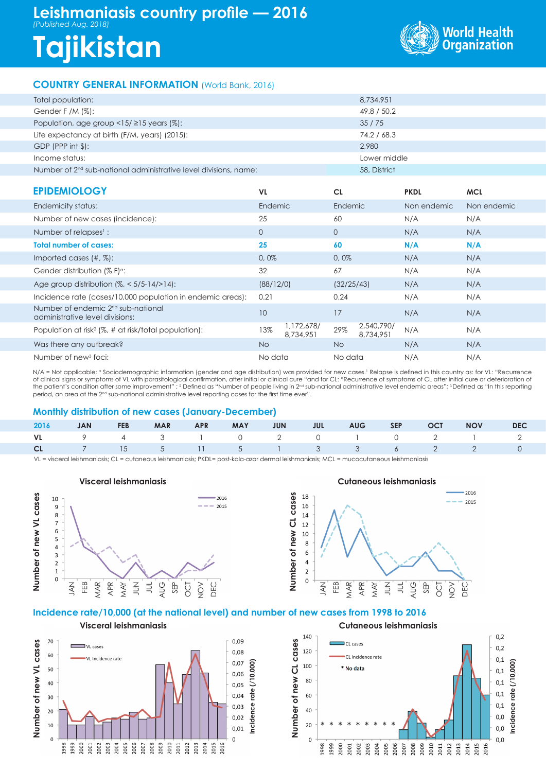## **Leishmaniasis country profile — 2016** *(Published Aug. 2018)*

# **Tajikistan**



### **COUNTRY GENERAL INFORMATION** (World Bank, 2016)

| Total population:                                                            | 8,734,951    |
|------------------------------------------------------------------------------|--------------|
| Gender F /M $(\%)$ :                                                         | 49.8 / 50.2  |
| Population, age group $\langle 15/215 \rangle$ years (%):                    | 35/75        |
| Life expectancy at birth (F/M, years) (2015):                                | 74.2 / 68.3  |
| $GDP$ (PPP int $\frac{1}{2}$ ):                                              | 2.980        |
| Income status:                                                               | Lower middle |
| Number of 2 <sup>nd</sup> sub-national administrative level divisions, name: | 58, District |

| <b>EPIDEMIOLOGY</b>                                                               | <b>VL</b>    |                         | <b>CL</b>    |                         | <b>PKDL</b> | <b>MCL</b>  |
|-----------------------------------------------------------------------------------|--------------|-------------------------|--------------|-------------------------|-------------|-------------|
| Endemicity status:                                                                | Endemic      |                         | Endemic      |                         | Non endemic | Non endemic |
| Number of new cases (incidence):                                                  | 25           |                         | 60           |                         | N/A         | N/A         |
| Number of relapses <sup>1</sup> :                                                 | $\mathbf{O}$ |                         | $\mathbf{0}$ |                         | N/A         | N/A         |
| <b>Total number of cases:</b>                                                     | 25           |                         | 60           |                         | N/A         | N/A         |
| Imported cases $(\#, \%)$ :                                                       | 0,0%         |                         | 0,0%         |                         | N/A         | N/A         |
| Gender distribution (% F) <sup>o</sup> :                                          | 32           |                         | 67           |                         | N/A         | N/A         |
| Age group distribution $(\%,-5/5-14/>14)$ :                                       | (88/12/0)    |                         | (32/25/43)   |                         | N/A         | N/A         |
| Incidence rate (cases/10,000 population in endemic areas):                        | 0.21         |                         | 0.24         |                         | N/A         | N/A         |
| Number of endemic 2 <sup>nd</sup> sub-national<br>administrative level divisions: | 10           |                         | 17           |                         | N/A         | N/A         |
| Population at risk <sup>2</sup> (%, # at risk/total population):                  | 13%          | 1,172,678/<br>8,734,951 | 29%          | 2,540,790/<br>8,734,951 | N/A         | N/A         |
| Was there any outbreak?                                                           | <b>No</b>    |                         | No.          |                         | N/A         | N/A         |
| Number of new <sup>3</sup> foci:                                                  | No data      |                         | No data      |                         | N/A         | N/A         |

N/A = Not applicable; <sup>a</sup> Sociodemographic information (gender and age distribution) was provided for new cases. I Relapse is defined in this country as: for VL: "Recurrence of clinical signs or symptoms of VL with parasitological confirmation, after initial or clinical cure "and for CL: "Recurrence of symptoms of CL after initial cure or deterioration of the patient's condition after some improvement" ; <sup>2</sup> Defined as "Number of people living in 2<sup>nd</sup> sub-national administrative level endemic areas"; <sup>3</sup> Defined as "In this reporting period, an area at the 2nd sub-national administrative level reporting cases for the first time ever".

#### **Monthly distribution of new cases (January-December)**

|  |  |  |  |  | 2016 JAN FEB MAR APR MAY JUN JUL AUG SEP OCT NOV DEC |  |
|--|--|--|--|--|------------------------------------------------------|--|
|  |  |  |  |  | VL 9 4 3 1 0 2 0 1 0 2 1 2                           |  |
|  |  |  |  |  | <b>CL</b> 7 15 5 11 5 1 3 3 6 2 2 0                  |  |

VL = visceral leishmaniasis; CL = cutaneous leishmaniasis; PKDL= post-kala-azar dermal leishmaniasis; MCL = mucocutaneous leishmaniasis



#### **Cutaneous leishmaniasis**